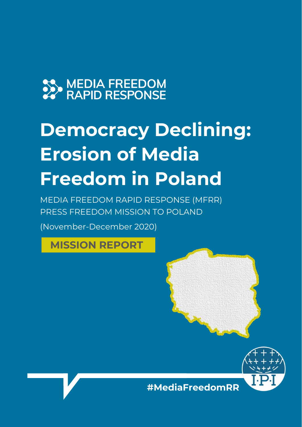# MEDIA FREEDOM

## **Democracy Declining: Erosion of Media Freedom in Poland**

MEDIA FREEDOM RAPID RESPONSE (MFRR) PRESS FREEDOM MISSION TO POLAND

(November-December 2020)

**MISSION REPORT**





**#MediaFreedomRR**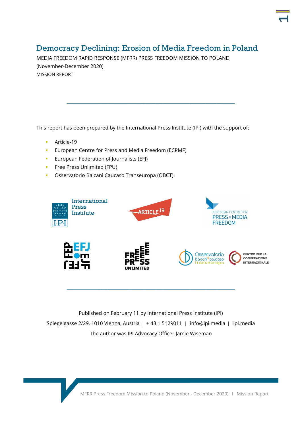#### Democracy Declining: Erosion of Media Freedom in Poland

**1**

MEDIA FREEDOM RAPID RESPONSE (MFRR) PRESS FREEDOM MISSION TO POLAND (November-December 2020) MISSION REPORT

This report has been prepared by the International Press Institute (IPI) with the support of:

\_\_\_\_\_\_\_\_\_\_\_\_\_\_\_\_\_\_\_\_\_\_\_\_\_\_\_\_\_\_\_\_\_\_\_\_\_\_\_\_\_\_\_\_\_\_\_\_\_\_\_\_\_\_\_\_\_\_\_\_\_\_\_\_\_\_\_\_\_\_\_\_\_\_

- Article-19
- European Centre for Press and Media Freedom (ECPMF)
- **EUROPEAN Federation of Journalists (EFJ)**
- **•** Free Press Unlimited (FPU)
- Osservatorio Balcani Caucaso Transeuropa (OBCT).



Published on February 11 by International Press Institute (IPI) Spiegelgasse 2/29, 1010 Vienna, Austria ǀ + 43 1 5129011 ǀ info@ipi.media ǀ ipi.media The author was IPI Advocacy Officer Jamie Wiseman

\_\_\_\_\_\_\_\_\_\_\_\_\_\_\_\_\_\_\_\_\_\_\_\_\_\_\_\_\_\_\_\_\_\_\_\_\_\_\_\_\_\_\_\_\_\_\_\_\_\_\_\_\_\_\_\_\_\_\_\_\_\_\_\_\_\_\_\_\_\_\_\_\_\_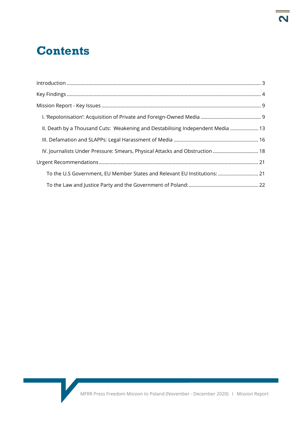## **Contents**

| II. Death by a Thousand Cuts: Weakening and Destabilising Independent Media  13 |
|---------------------------------------------------------------------------------|
|                                                                                 |
| IV. Journalists Under Pressure: Smears, Physical Attacks and Obstruction  18    |
|                                                                                 |
| To the U.S Government, EU Member States and Relevant EU Institutions:  21       |
|                                                                                 |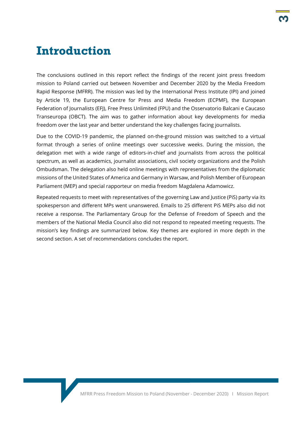## <span id="page-3-0"></span>**Introduction**

The conclusions outlined in this report reflect the findings of the recent joint press freedom mission to Poland carried out between November and December 2020 by the Media Freedom Rapid Response (MFRR). The mission was led by the International Press Institute (IPI) and joined by Article 19, the European Centre for Press and Media Freedom (ECPMF), the European Federation of Journalists (EFJ), Free Press Unlimited (FPU) and the Osservatorio Balcani e Caucaso Transeuropa (OBCT). The aim was to gather information about key developments for media freedom over the last year and better understand the key challenges facing journalists.

Due to the COVID-19 pandemic, the planned on-the-ground mission was switched to a virtual format through a series of online meetings over successive weeks. During the mission, the delegation met with a wide range of editors-in-chief and journalists from across the political spectrum, as well as academics, journalist associations, civil society organizations and the Polish Ombudsman. The delegation also held online meetings with representatives from the diplomatic missions of the United States of America and Germany in Warsaw, and Polish Member of European Parliament (MEP) and special rapporteur on media freedom Magdalena Adamowicz.

Repeated requests to meet with representatives of the governing Law and Justice (PiS) party via its spokesperson and different MPs went unanswered. Emails to 25 different PiS MEPs also did not receive a response. The Parliamentary Group for the Defense of Freedom of Speech and the members of the National Media Council also did not respond to repeated meeting requests. The mission's key findings are summarized below. Key themes are explored in more depth in the second section. A set of recommendations concludes the report.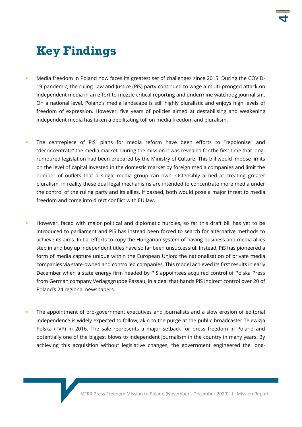

## <span id="page-4-0"></span>**Key Findings**

- Media freedom in Poland now faces its greatest set of challenges since 2015. During the COVID-19 pandemic, the ruling Law and Justice (PiS) party continued to wage a multi-pronged attack on independent media in an effort to muzzle critical reporting and undermine watchdog journalism. On a national level, Poland's media landscape is still highly pluralistic and enjoys high levels of freedom of expression. However, five years of policies aimed at destabilising and weakening independent media has taken a debilitating toll on media freedom and pluralism.
- The centrepiece of PiS' plans for media reform have been efforts to "repolonise" and "deconcentrate" the media market. During the mission it was revealed for the first time that longrumoured legislation had been prepared by the Ministry of Culture. This bill would impose limits on the level of capital invested in the domestic market by foreign media companies and limit the number of outlets that a single media group can own. Ostensibly aimed at creating greater pluralism, in reality these dual legal mechanisms are intended to concentrate more media under the control of the ruling party and its allies. If passed, both would pose a major threat to media freedom and come into direct conflict with EU law.
- However, faced with major political and diplomatic hurdles, so far this draft bill has yet to be introduced to parliament and PiS has instead been forced to search for alternative methods to achieve its aims. Initial efforts to copy the Hungarian system of having business and media allies step in and buy up independent titles have so far been unsuccessful. Instead, PiS has pioneered a form of media capture unique within the European Union: the nationalisation of private media companies via state-owned and controlled companies. This model achieved its first results in early December when a state energy firm headed by PiS appointees acquired control of Polska Press from German company Verlagsgruppe Passau, in a deal that hands PiS indirect control over 20 of Poland's 24 regional newspapers.
- The appointment of pro-government executives and journalists and a slow erosion of editorial independence is widely expected to follow, akin to the purge at the public broadcaster Telewizja Polska (TVP) in 2016. The sale represents a major setback for press freedom in Poland and potentially one of the biggest blows to independent journalism in the country in many years. By achieving this acquisition without legislative changes, the government engineered the long-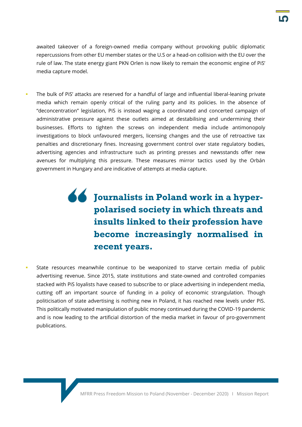awaited takeover of a foreign-owned media company without provoking public diplomatic repercussions from other EU member states or the U.S or a head-on collision with the EU over the rule of law. The state energy giant PKN Orlen is now likely to remain the economic engine of PiS' media capture model.

The bulk of PiS' attacks are reserved for a handful of large and influential liberal-leaning private media which remain openly critical of the ruling party and its policies. In the absence of "deconcentration" legislation, PiS is instead waging a coordinated and concerted campaign of administrative pressure against these outlets aimed at destabilising and undermining their businesses. Efforts to tighten the screws on independent media include antimonopoly investigations to block unfavoured mergers, licensing changes and the use of retroactive tax penalties and discretionary fines. Increasing government control over state regulatory bodies, advertising agencies and infrastructure such as printing presses and newsstands offer new avenues for multiplying this pressure. These measures mirror tactics used by the Orbán government in Hungary and are indicative of attempts at media capture.

## **Journalists in Poland work in a hyperpolarised society in which threats and insults linked to their profession have become increasingly normalised in recent years.**

State resources meanwhile continue to be weaponized to starve certain media of public advertising revenue. Since 2015, state institutions and state-owned and controlled companies stacked with PiS loyalists have ceased to subscribe to or place advertising in independent media, cutting off an important source of funding in a policy of economic strangulation. Though politicisation of state advertising is nothing new in Poland, it has reached new levels under PiS. This politically motivated manipulation of public money continued during the COVID-19 pandemic and is now leading to the artificial distortion of the media market in favour of pro-government publications.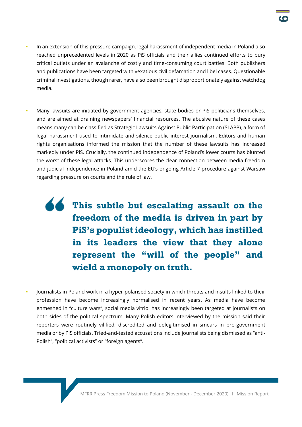- In an extension of this pressure campaign, legal harassment of independent media in Poland also reached unprecedented levels in 2020 as PiS officials and their allies continued efforts to bury critical outlets under an avalanche of costly and time-consuming court battles. Both publishers and publications have been targeted with vexatious civil defamation and libel cases. Questionable criminal investigations, though rarer, have also been brought disproportionately against watchdog media.
- Many lawsuits are initiated by government agencies, state bodies or PiS politicians themselves, and are aimed at draining newspapers' financial resources. The abusive nature of these cases means many can be classified as Strategic Lawsuits Against Public Participation (SLAPP), a form of legal harassment used to intimidate and silence public interest journalism. Editors and human rights organisations informed the mission that the number of these lawsuits has increased markedly under PiS. Crucially, the continued independence of Poland's lower courts has blunted the worst of these legal attacks. This underscores the clear connection between media freedom and judicial independence in Poland amid the EU's ongoing Article 7 procedure against Warsaw regarding pressure on courts and the rule of law.
	- $\triangle$  This subtle but escalating assault on the **freedom of the media is driven in part by PiS's populist ideology, which has instilled in its leaders the view that they alone represent the "will of the people" and wield a monopoly on truth.**
- Journalists in Poland work in a hyper-polarised society in which threats and insults linked to their profession have become increasingly normalised in recent years. As media have become enmeshed in "culture wars", social media vitriol has increasingly been targeted at journalists on both sides of the political spectrum. Many Polish editors interviewed by the mission said their reporters were routinely vilified, discredited and delegitimised in smears in pro-government media or by PiS officials. Tried-and-tested accusations include journalists being dismissed as "anti-Polish", "political activists" or "foreign agents".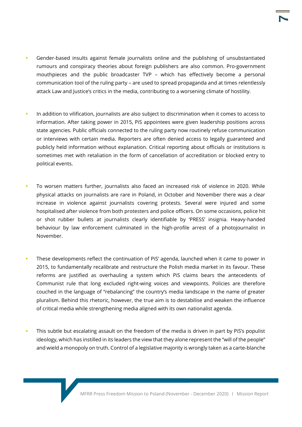- Gender-based insults against female journalists online and the publishing of unsubstantiated rumours and conspiracy theories about foreign publishers are also common. Pro-government mouthpieces and the public broadcaster TVP – which has effectively become a personal communication tool of the ruling party – are used to spread propaganda and at times relentlessly attack Law and Justice's critics in the media, contributing to a worsening climate of hostility.
- In addition to vilification, journalists are also subject to discrimination when it comes to access to information. After taking power in 2015, PiS appointees were given leadership positions across state agencies. Public officials connected to the ruling party now routinely refuse communication or interviews with certain media. Reporters are often denied access to legally guaranteed and publicly held information without explanation. Critical reporting about officials or institutions is sometimes met with retaliation in the form of cancellation of accreditation or blocked entry to political events.
- To worsen matters further, journalists also faced an increased risk of violence in 2020. While physical attacks on journalists are rare in Poland, in October and November there was a clear increase in violence against journalists covering protests. Several were injured and some hospitalised after violence from both protesters and police officers. On some occasions, police hit or shot rubber bullets at journalists clearly identifiable by 'PRESS' insignia. Heavy-handed behaviour by law enforcement culminated in the high-profile arrest of a photojournalist in November.
- These developments reflect the continuation of PiS' agenda, launched when it came to power in 2015, to fundamentally recalibrate and restructure the Polish media market in its favour. These reforms are justified as overhauling a system which PiS claims bears the antecedents of Communist rule that long excluded right-wing voices and viewpoints. Policies are therefore couched in the language of "rebalancing" the country's media landscape in the name of greater pluralism. Behind this rhetoric, however, the true aim is to destabilise and weaken the influence of critical media while strengthening media aligned with its own nationalist agenda.
- This subtle but escalating assault on the freedom of the media is driven in part by PiS's populist ideology, which has instilled in its leaders the view that they alone represent the "will of the people" and wield a monopoly on truth. Control of a legislative majority is wrongly taken as a carte-blanche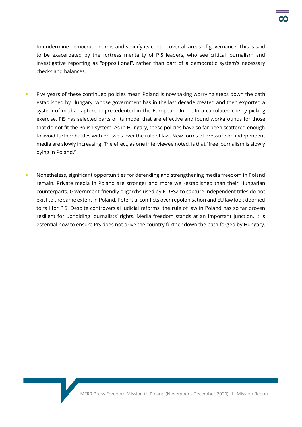to undermine democratic norms and solidify its control over all areas of governance. This is said to be exacerbated by the fortress mentality of PiS leaders, who see critical journalism and investigative reporting as "oppositional", rather than part of a democratic system's necessary checks and balances.

- Five years of these continued policies mean Poland is now taking worrying steps down the path established by Hungary, whose government has in the last decade created and then exported a system of media capture unprecedented in the European Union. In a calculated cherry-picking exercise, PiS has selected parts of its model that are effective and found workarounds for those that do not fit the Polish system. As in Hungary, these policies have so far been scattered enough to avoid further battles with Brussels over the rule of law. New forms of pressure on independent media are slowly increasing. The effect, as one interviewee noted, is that "free journalism is slowly dying in Poland."
- Nonetheless, significant opportunities for defending and strengthening media freedom in Poland remain. Private media in Poland are stronger and more well-established than their Hungarian counterparts. Government-friendly oligarchs used by FIDESZ to capture independent titles do not exist to the same extent in Poland. Potential conflicts over repolonisation and EU law look doomed to fail for PiS. Despite controversial judicial reforms, the rule of law in Poland has so far proven resilient for upholding journalists' rights. Media freedom stands at an important junction. It is essential now to ensure PiS does not drive the country further down the path forged by Hungary.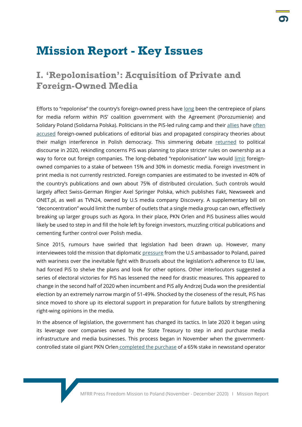## <span id="page-9-0"></span>**Mission Report - Key Issues**

#### <span id="page-9-1"></span>**I. 'Repolonisation': Acquisition of Private and Foreign-Owned Media**

Efforts to "repolonise" the country's foreign-owned press have [long](https://www.reuters.com/article/us-poland-media/polish-government-to-repolonize-media-in-next-term-deputy-pm-says-idUSKCN1TL1EX) been the centrepiece of plans for media reform within PiS' coalition government with the Agreement (Porozumienie) and Solidary Poland (Solidarna Polska). Politicians in the PiS-led ruling camp and their [allies](https://twitter.com/JKowalski_posel/status/1282427793322708994) have [often](https://www.wirtualnemedia.pl/artykul/pis-chce-kupic-tvn24-roman-giertych-adam-hofman-leszek-czarnecki)  [accused](https://www.wirtualnemedia.pl/artykul/pis-chce-kupic-tvn24-roman-giertych-adam-hofman-leszek-czarnecki) foreign-owned publications of editorial bias and propagated conspiracy theories about their malign interference in Polish democracy. This simmering debate [returned](https://www.reuters.com/article/us-poland-election-germany/polish-president-accuses-german-owned-tabloid-of-election-meddling-idUSKBN2442G5) to political discourse in 2020, rekindling concerns PiS was planning to place stricter rules on ownership as a way to force out foreign companies. The long-debated "repolonisation" law would [limit](https://www.dw.com/en/poland-plans-limitations-foer-foreign-owned-media/a-55534861) foreignowned companies to a stake of between 15% and 30% in domestic media. Foreign investment in print media is not currently restricted. Foreign companies are estimated to be invested in 40% of the country's publications and own about 75% of distributed circulation. Such controls would largely affect Swiss-German Ringier Axel Springer Polska, which publishes Fakt, Newsweek and ONET.pl, as well as TVN24, owned by U.S media company Discovery. A supplementary bill on "deconcentration" would limit the number of outlets that a single media group can own, effectively breaking up larger groups such as Agora. In their place, PKN Orlen and PiS business allies would likely be used to step in and fill the hole left by foreign investors, muzzling critical publications and cementing further control over Polish media.

Since 2015, rumours have swirled that legislation had been drawn up. However, many interviewees told the mission that diplomatic [pressure](https://twitter.com/USAmbPoland/status/1299345367612481537) from the U.S ambassador to Poland, paired with wariness over the inevitable fight with Brussels about the legislation's adherence to EU law, had forced PiS to shelve the plans and look for other options. Other interlocutors suggested a series of electoral victories for PiS has lessened the need for drastic measures. This appeared to change in the second half of 2020 when incumbent and PiS ally Andrzej Duda won the presidential election by an extremely narrow margin of 51-49%. Shocked by the closeness of the result, PiS has since moved to shore up its electoral support in preparation for future ballots by strengthening right-wing opinions in the media.

In the absence of legislation, the government has changed its tactics. In late 2020 it began using its leverage over companies owned by the State Treasury to step in and purchase media infrastructure and media businesses. This process began in November when the governmentcontrolled state oil giant PKN Orlen completed [the purchase](http://biznes.pap.pl/en/news/all/info/3012500,pkn-orlen-fuels-completes-purchase-of-65--stake-in-retailer-ruch) of a 65% stake in newsstand operator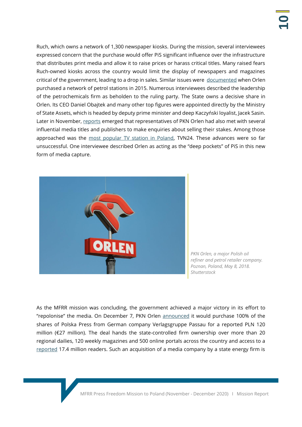Ruch, which owns a network of 1,300 newspaper kiosks. During the mission, several interviewees expressed concern that the purchase would offer PiS significant influence over the infrastructure that distributes print media and allow it to raise prices or harass critical titles. Many raised fears Ruch-owned kiosks across the country would limit the display of newspapers and magazines critical of the government, leading to a drop in sales. Similar issues were [documented](https://mappingmediafreedom.ushahidi.io/posts/22185) when Orlen purchased a network of petrol stations in 2015. Numerous interviewees described the leadership of the petrochemicals firm as beholden to the ruling party. The State owns a decisive share in Orlen. Its CEO Daniel Obajtek and many other top figures were appointed directly by the Ministry of State Assets, which is headed by deputy prime minister and deep Kaczyński loyalist, Jacek Sasin. Later in November, [reports](https://www.wirtualnemedia.pl/artykul/pis-chce-kupic-tvn24-roman-giertych-adam-hofman-leszek-czarnecki) emerged that representatives of PKN Orlen had also met with several influential media titles and publishers to make enquiries about selling their stakes. Among those approached was the [most popular TV station in Poland,](https://www.wirtualnemedia.pl/artykul/pis-chce-kupic-tvn24-roman-giertych-adam-hofman-leszek-czarnecki) TVN24. These advances were so far unsuccessful. One interviewee described Orlen as acting as the "deep pockets" of PiS in this new form of media capture.



*PKN Orlen, a major Polish oil refiner and petrol retailer company. Poznan, Poland, May 8, 2018. Shutterstock*

As the MFRR mission was concluding, the government achieved a major victory in its effort to "repolonise" the media. On December 7, PKN Orlen [announced](https://ipi.media/purchase-of-polska-press-by-state-energy-giant-spells-disaster-for-media-freedom-in-poland/) it would purchase 100% of the shares of Polska Press from German company Verlagsgruppe Passau for a reported PLN 120 million (€27 million). The deal hands the state-controlled firm ownership over more than 20 regional dailies, 120 weekly magazines and 500 online portals across the country and access to [a](https://innpoland.pl/163923,co-przejmuje-orlen-oto-wszystkie-media-polska-press-lista) [reported](https://innpoland.pl/163923,co-przejmuje-orlen-oto-wszystkie-media-polska-press-lista) 17.4 million readers. Such an acquisition of a media company by a state energy firm is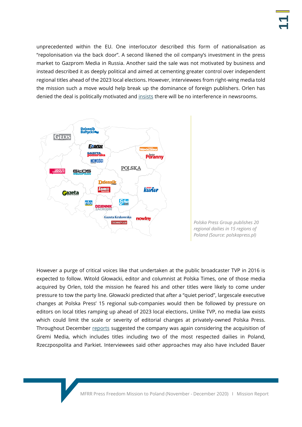unprecedented within the EU. One interlocutor described this form of nationalisation as "repolonisation via the back door". A second likened the oil company's investment in the press market to Gazprom Media in Russia. Another said the sale was not motivated by business and instead described it as deeply political and aimed at cementing greater control over independent regional titles ahead of the 2023 local elections. However, interviewees from right-wing media told the mission such a move would help break up the dominance of foreign publishers. Orlen has denied the deal is politically motivated and [insists](https://www.ft.com/content/f836d45f-63e4-4c74-bdc0-90c46b3b032c) there will be no interference in newsrooms.



*Polska Press Group publishes 20 regional dailies in 15 regions of Poland (Source: polskapress.pl)*

However a purge of critical voices like that undertaken at the public broadcaster TVP in 2016 is expected to follow. Witold Głowacki, editor and columnist at Polska Times, one of those media acquired by Orlen, told the mission he feared his and other titles were likely to come under pressure to tow the party line. Głowacki predicted that after a "quiet period", largescale executive changes at Polska Press' 15 regional sub-companies would then be followed by pressure on editors on local titles ramping up ahead of 2023 local elections**.** Unlike TVP, no media law exists which could limit the scale or severity of editorial changes at privately-owned Polska Press. Throughout December [reports](https://wiadomosci.onet.pl/tylko-w-onecie/orlen-kupuje-polska-press-kolejna-gazeta-na-liscie/ms944vs) suggested the company was again considering the acquisition of Gremi Media, which includes titles including two of the most respected dailies in Poland, Rzeczpospolita and Parkiet. Interviewees said other approaches may also have included Bauer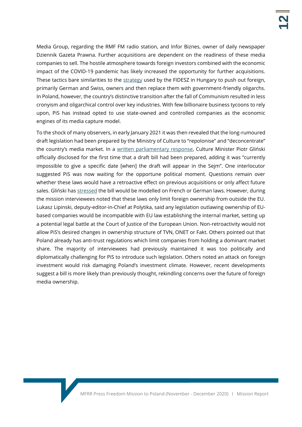Media Group, regarding the RMF FM radio station, and Infor Biznes, owner of daily newspaper Dziennik Gazeta Prawna. Further acquisitions are dependent on the readiness of these media companies to sell. The hostile atmosphere towards foreign investors combined with the economic impact of the COVID-19 pandemic has likely increased the opportunity for further acquisitions. These tactics bare similarities to the [strategy](https://ipi.media/new-report-hungary-dismantles-media-freedom-and-pluralism/) used by the FIDESZ in Hungary to push out foreign, primarily German and Swiss, owners and then replace them with government-friendly oligarchs. In Poland, however, the country's distinctive transition after the fall of Communism resulted in less cronyism and oligarchical control over key industries. With few billionaire business tycoons to rely upon, PiS has instead opted to use state-owned and controlled companies as the economic engines of its media capture model.

To the shock of many observers, in early January 2021 it was then revealed that the long-rumoured draft legislation had been prepared by the Ministry of Culture to "repolonise" and "deconcentrate" the country's media market. In a [written parliamentary response](https://www.sejm.gov.pl/sejm9.nsf/InterpelacjaTresc.xsp?key=BWJKEA&view=1), Culture Minister Piotr Gliński officially disclosed for the first time that a draft bill had been prepared, adding it was "currently impossible to give a specific date [when] the draft will appear in the Sejm". One interlocutor suggested PiS was now waiting for the opportune political moment. Questions remain over whether these laws would have a retroactive effect on previous acquisitions or only affect future sales. Gliński has [stressed](https://www.sejm.gov.pl/sejm9.nsf/InterpelacjaTresc.xsp?key=BWJKEA&view=1) the bill would be modelled on French or German laws. However, during the mission interviewees noted that these laws only limit foreign ownership from outside the EU. Lukasz Lipinski, deputy-editor-in-Chief at Polytika, said any legislation outlawing ownership of EUbased companies would be incompatible with EU law establishing the internal market, setting up a potential legal battle at the Court of Justice of the European Union. Non-retroactivity would not allow PiS's desired changes in ownership structure of TVN, ONET or Fakt. Others pointed out that Poland already has anti-trust regulations which limit companies from holding a dominant market share. The majority of interviewees had previously maintained it was too politically and diplomatically challenging for PiS to introduce such legislation. Others noted an attack on foreign investment would risk damaging Poland's investment climate. However, recent developments suggest a bill is more likely than previously thought, rekindling concerns over the future of foreign media ownership.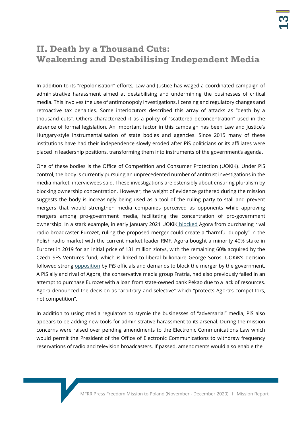#### <span id="page-13-0"></span>**II. Death by a Thousand Cuts: Weakening and Destabilising Independent Media**

In addition to its "repolonisation" efforts, Law and Justice has waged a coordinated campaign of administrative harassment aimed at destabilising and undermining the businesses of critical media. This involves the use of antimonopoly investigations, licensing and regulatory changes and retroactive tax penalties. Some interlocutors described this array of attacks as "death by a thousand cuts". Others characterized it as a policy of "scattered deconcentration" used in the absence of formal legislation. An important factor in this campaign has been Law and Justice's Hungary-style instrumentalisation of state bodies and agencies. Since 2015 many of these institutions have had their independence slowly eroded after PiS politicians or its affiliates were placed in leadership positions, transforming them into instruments of the government's agenda.

One of these bodies is the Office of Competition and Consumer Protection (UOKiK). Under PiS control, the body is currently pursuing an unprecedented number of antitrust investigations in the media market, interviewees said. These investigations are ostensibly about ensuring pluralism by blocking ownership concentration. However, the weight of evidence gathered during the mission suggests the body is increasingly being used as a tool of the ruling party to stall and prevent mergers that would strengthen media companies perceived as opponents while approving mergers among pro-government media, facilitating the concentration of pro-government ownership. In a stark example, in early January 2021 UOKiK [blocked](https://mappingmediafreedom.ushahidi.io/posts/23749) Agora from purchasing rival radio broadcaster Eurozet, ruling the proposed merger could create a "harmful duopoly" in the Polish radio market with the current market leader RMF. Agora bought a minority 40% stake in Eurozet in 2019 for an initial price of 131 million zlotys, with the remaining 60% acquired by the Czech SFS Ventures fund, which is linked to liberal billionaire George Soros. UOKiK's decision followed strong [opposition](https://twitter.com/beatamk/status/1089246489203879936?ref_src=twsrc%5Etfw%7Ctwcamp%5Etweetembed%7Ctwterm%5E1089246489203879936%7Ctwgr%5E%7Ctwcon%5Es1_&ref_url=https%3A%2F%2Fnotesfrompoland.com%2F2021%2F01%2F08%2Fpolands-antitrust-authority-stops-radio-group-merger-over-competition-concerns%2F) by PiS officials and demands to block the merger by the government. A PiS ally and rival of Agora, the conservative media group Fratria, had also previously failed in an attempt to purchase Eurozet with a loan from state-owned bank Pekao due to a lack of resources. Agora denounced the decision as "arbitrary and selective" which "protects Agora's competitors, not competition".

In addition to using media regulators to stymie the businesses of "adversarial" media, PiS also appears to be adding new tools for administrative harassment to its arsenal. During the mission concerns were raised over pending amendments to the Electronic Communications Law which would permit the President of the Office of Electronic Communications to withdraw frequency reservations of radio and television broadcasters. If passed, amendments would also enable the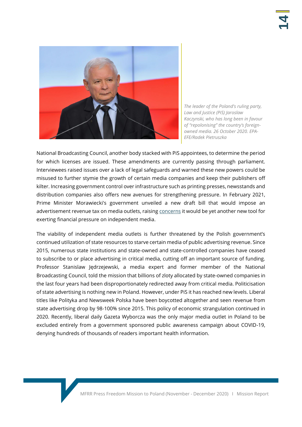



*The leader of the Poland's ruling party, Law and Justice (PiS) Jaroslaw Kaczynski, who has long been in favour of "repolonising" the country's foreignowned media. 26 October 2020. EPA-EFE/Radek Pietruszka*

**14**

National Broadcasting Council, another body stacked with PiS appointees, to determine the period for which licenses are issued. These amendments are currently passing through parliament. Interviewees raised issues over a lack of legal safeguards and warned these new powers could be misused to further stymie the growth of certain media companies and keep their publishers off kilter. Increasing government control over infrastructure such as printing presses, newsstands and distribution companies also offers new avenues for strengthening pressure. In February 2021, Prime Minister Morawiecki's government unveiled a new draft bill that would impose an advertisement revenue tax on media outlets, raisin[g concerns](https://wyborcza.pl/7,173236,26752737,seeking-new-ways-to-exert-pressure-on-independent-media-the.html?utm_source=mail&utm_medium=newsletter&utm_campaign=democracy_at_stake&NLID=e7be1909d0c180a1669b58bbfd5f023fecde06b5368f3733752b39faa16e2dd9) it would be yet another new tool for exerting financial pressure on independent media.

The viability of independent media outlets is further threatened by the Polish government's continued utilization of state resources to starve certain media of public advertising revenue. Since 2015, numerous state institutions and state-owned and state-controlled companies have ceased to subscribe to or place advertising in critical media, cutting off an important source of funding. Professor Stanislaw Jędrzejewski, a media expert and former member of the National Broadcasting Council, told the mission that billions of zloty allocated by state-owned companies in the last four years had been disproportionately redirected away from critical media. Politicisation of state advertising is nothing new in Poland. However, under PiS it has reached new levels. Liberal titles like Polityka and Newsweek Polska have been boycotted altogether and seen revenue from state advertising drop by 98-100% since 2015. This policy of economic strangulation continued in 2020. Recently, liberal daily Gazeta Wyborcza was the only major media outlet in Poland to be excluded entirely from a government sponsored public awareness campaign about COVID-19, denying hundreds of thousands of readers important health information.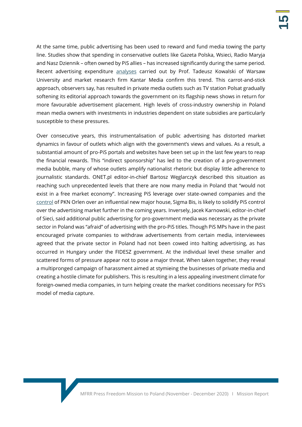At the same time, public advertising has been used to reward and fund media towing the party line. Studies show that spending in conservative outlets like Gazeta Polska, Wsieci, Radio Maryja and Nasz Dziennik – often owned by PiS allies – has increased significantly during the same period. Recent advertising expenditure [analyses](http://wyborcza.pl/7,156282,23059001,lubisz-wladze-dostajesz-reklamy-czyli-jak-panstwowe-spolki.html) carried out by Prof. Tadeusz Kowalski of Warsaw University and market research firm Kantar Media confirm this trend. This carrot-and-stick approach, observers say, has resulted in private media outlets such as TV station Polsat gradually softening its editorial approach towards the government on its flagship news shows in return for more favourable advertisement placement. High levels of cross-industry ownership in Poland mean media owners with investments in industries dependent on state subsidies are particularly susceptible to these pressures.

Over consecutive years, this instrumentalisation of public advertising has distorted market dynamics in favour of outlets which align with the government's views and values. As a result, a substantial amount of pro-PiS portals and websites have been set up in the last few years to reap the financial rewards. This "indirect sponsorship" has led to the creation of a pro-government media bubble, many of whose outlets amplify nationalist rhetoric but display little adherence to journalistic standards. ONET.pl editor-in-chief Bartosz Węglarczyk described this situation as reaching such unprecedented levels that there are now many media in Poland that "would not exist in a free market economy". Increasing PiS leverage over state-owned companies and th[e](https://www.dw.com/en/why-is-a-polish-oil-company-building-up-a-media-empire/a-56083146) [control](https://www.dw.com/en/why-is-a-polish-oil-company-building-up-a-media-empire/a-56083146) of PKN Orlen over an influential new major house, Sigma Bis, is likely to solidify PiS control over the advertising market further in the coming years. Inversely, Jacek Karnowski, editor-in-chief of Sieci, said additional public advertising for pro-government media was necessary as the private sector in Poland was "afraid" of advertising with the pro-PiS titles. Though PiS MPs have in the past encouraged private companies to withdraw advertisements from certain media, interviewees agreed that the private sector in Poland had not been cowed into halting advertising, as has occurred in Hungary under the FIDESZ government. At the individual level these smaller and scattered forms of pressure appear not to pose a major threat. When taken together, they reveal a multipronged campaign of harassment aimed at stymieing the businesses of private media and creating a hostile climate for publishers. This is resulting in a less appealing investment climate for foreign-owned media companies, in turn helping create the market conditions necessary for PiS's model of media capture.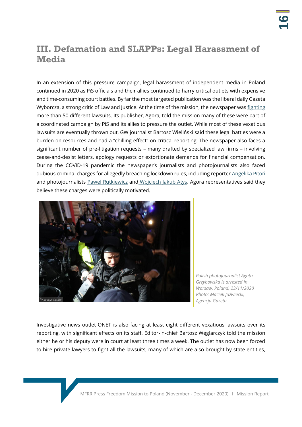#### <span id="page-16-0"></span>**III. Defamation and SLAPPs: Legal Harassment of Media**

In an extension of this pressure campaign, legal harassment of independent media in Poland continued in 2020 as PiS officials and their allies continued to harry critical outlets with expensive and time-consuming court battles. By far the most targeted publication was the liberal daily Gazeta Wyborcza, a strong critic of Law and Justice. At the time of the mission, the newspaper was [fighting](https://mappingmediafreedom.ushahidi.io/posts/23385) more than 50 different lawsuits. Its publisher, Agora, told the mission many of these were part of a coordinated campaign by PiS and its allies to pressure the outlet. While most of these vexatious lawsuits are eventually thrown out, GW journalist Bartosz Wieliński said these legal battles were a burden on resources and had a "chilling effect" on critical reporting. The newspaper also faces a significant number of pre-litigation requests – many drafted by specialized law firms – involving cease-and-desist letters, apology requests or extortionate demands for financial compensation. During the COVID-19 pandemic the newspaper's journalists and photojournalists also faced dubious criminal charges for allegedly breaching lockdown rules, including reporter [Angelika](https://www.coe.int/en/web/media-freedom/detail-alert?p_p_id=sojdashboard_WAR_coesojportlet&p_p_lifecycle=2&p_p_cacheability=cacheLevelPage&p_p_col_id=column-1&p_p_col_pos=1&p_p_col_count=2&_sojdashboard_WAR_coesojportlet_alertPK=77081008&_sojdashboard_WAR_coesojportlet_cmd=get_pdf_one) Pitoń and photojournalists [Pawel Rutkiewicz](https://mappingmediafreedom.ushahidi.io/posts/23306) and [Wojciech Jakub Atys.](https://mappingmediafreedom.ushahidi.io/posts/23291) Agora representatives said they believe these charges were politically motivated.



*Polish photojournalist Agata Grzybowska is arrested in Warsaw, Poland, 23/11/2020 Photo: Maciek Jaźwiecki, Agencja Gazeta*

Investigative news outlet ONET is also facing at least eight different vexatious lawsuits over its reporting, with significant effects on its staff. Editor-in-chief Bartosz Węglarczyk told the mission either he or his deputy were in court at least three times a week. The outlet has now been forced to hire private lawyers to fight all the lawsuits, many of which are also brought by state entities,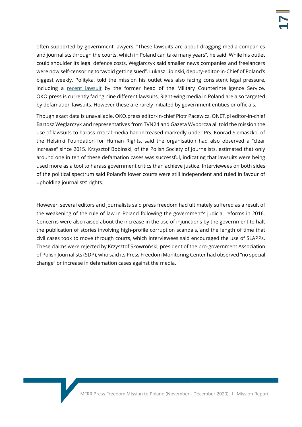often supported by government lawyers. "These lawsuits are about dragging media companies and journalists through the courts, which in Poland can take many years", he said. While his outlet could shoulder its legal defence costs, Węglarczyk said smaller news companies and freelancers were now self-censoring to "avoid getting sued". Lukasz Lipinski, deputy-editor-in-Chief of Poland's biggest weekly, Polityka, told the mission his outlet was also facing consistent legal pressure, including a [recent lawsuit](https://mappingmediafreedom.ushahidi.io/posts/23737) by the former head of the Military Counterintelligence Service. OKO.press is currently facing nine different lawsuits, Right-wing media in Poland are also targeted by defamation lawsuits. However these are rarely initiated by government entities or officials.

Though exact data is unavailable, OKO.press editor-in-chief Piotr Pacewicz, ONET.pl editor-in-chief Bartosz Węglarczyk and representatives from TVN24 and Gazeta Wyborcza all told the mission the use of lawsuits to harass critical media had increased markedly under PiS. Konrad Siemaszko, of the Helsinki Foundation for Human Rights, said the organisation had also observed a "clear increase" since 2015. Krzysztof Bobinski, of the Polish Society of Journalists, estimated that only around one in ten of these defamation cases was successful, indicating that lawsuits were being used more as a tool to harass government critics than achieve justice. Interviewees on both sides of the political spectrum said Poland's lower courts were still independent and ruled in favour of upholding journalists' rights.

However, several editors and journalists said press freedom had ultimately suffered as a result of the weakening of the rule of law in Poland following the government's judicial reforms in 2016. Concerns were also raised about the increase in the use of injunctions by the government to halt the publication of stories involving high-profile corruption scandals, and the length of time that civil cases took to move through courts, which interviewees said encouraged the use of SLAPPs. These claims were rejected by Krzysztof Skowroński, president of the pro-government Association of Polish Journalists (SDP), who said its Press Freedom Monitoring Center had observed "no special change" or increase in defamation cases against the media.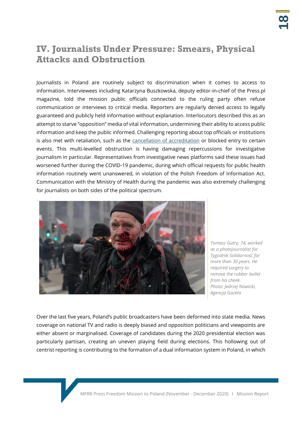#### <span id="page-18-0"></span>**IV. Journalists Under Pressure: Smears, Physical Attacks and Obstruction**

Journalists in Poland are routinely subject to discrimination when it comes to access to information. Interviewees including Katarzyna Buszkowska, deputy editor-in-chief of the Press.pl magazine, told the mission public officials connected to the ruling party often refuse communication or interviews to critical media. Reporters are regularly denied access to legally guaranteed and publicly held information without explanation. Interlocutors described this as an attempt to starve "opposition" media of vital information, undermining their ability to access public information and keep the public informed. Challenging reporting about top officials or institutions is also met with retaliation, such as the [cancellation of accreditation](https://mappingmediafreedom.ushahidi.io/posts/23542) or blocked entry to certain events. This multi-levelled obstruction is having damaging repercussions for investigative journalism in particular. Representatives from investigative news platforms said these issues had worsened further during the COVID-19 pandemic, during which official requests for public health information routinely went unanswered, in violation of the Polish Freedom of Information Act. Communication with the Ministry of Health during the pandemic was also extremely challenging for journalists on both sides of the political spectrum.



*Tomasz Gutry, 74, worked as a photojournalist for Tygodnik Solidarność for more than 30 years. He required surgery to remove the rubber bullet from his cheek. Photo: Jedrzej Nowicki, Agencja Gazeta*

Over the last five years, Poland's public broadcasters have been deformed into state media. News coverage on national TV and radio is deeply biased and opposition politicians and viewpoints are either absent or marginalised. Coverage of candidates during the 2020 presidential election was particularly partisan, creating an uneven playing field during elections. This hollowing out of centrist reporting is contributing to the formation of a dual information system in Poland, in which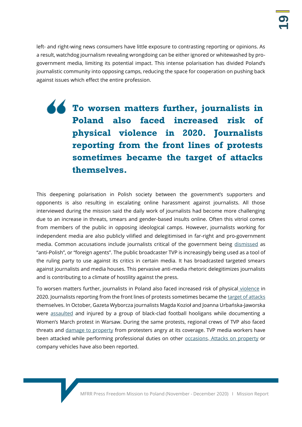left- and right-wing news consumers have little exposure to contrasting reporting or opinions. As a result, watchdog journalism revealing wrongdoing can be either ignored or whitewashed by progovernment media, limiting its potential impact. This intense polarisation has divided Poland's journalistic community into opposing camps, reducing the space for cooperation on pushing back against issues which effect the entire profession.

## **To worsen matters further, journalists in Poland also faced increased risk of physical violence in 2020. Journalists reporting from the front lines of protests sometimes became the target of attacks themselves.**

This deepening polarisation in Polish society between the government's supporters and opponents is also resulting in escalating online harassment against journalists. All those interviewed during the mission said the daily work of journalists had become more challenging due to an increase in threats, smears and gender-based insults online. Often this vitriol comes from members of the public in opposing ideological camps. However, journalists working for independent media are also publicly vilified and delegitimised in far-right and pro-government media. Common accusations include journalists critical of the government being [dismissed](https://mappingmediafreedom.ushahidi.io/posts/23395) as "anti-Polish", or "foreign agents". The public broadcaster TVP is increasingly being used as a tool of the ruling party to use against its critics in certain media. It has broadcasted targeted smears against journalists and media houses. This pervasive anti-media rhetoric delegitimizes journalists and is contributing to a climate of hostility against the press.

To worsen matters further, journalists in Poland also faced increased risk of physical [violence](https://ipi.media/poland-ipi-condemns-police-violence-against-journalists-amidst-warsaw-clashes/) in 2020. Journalists reporting from the front lines of protests sometimes became the [target of attacks](https://ipi.media/poland-ipi-condemns-police-violence-against-journalists-amidst-warsaw-clashes/) themselves. In October, Gazeta Wyborcza journalists Magda Kozioł and Joanna Urbańska-Jaworska were [assaulted](https://wyborcza.pl/7,75968,26456352,nasze-dziennikarki-zostaly-pobite-oswiadczenie-redakcji-gazety.html) and injured by a group of black-clad football hooligans while documenting a Women's March protest in Warsaw. During the same protests, regional crews of TVP also faced threats and [damage to property](https://www.tvp.info/50501033/atak-na-dziennikarzy-tvp-relacjonowali-proaborcyjne-protesty) from protesters angry at its coverage. TVP media workers have been attacked while performing professional duties on other [occasions.](https://mappingmediafreedom.ushahidi.io/posts/23545) [Attacks on property](https://mappingmediafreedom.ushahidi.io/posts/23409) or company vehicles have also been reported.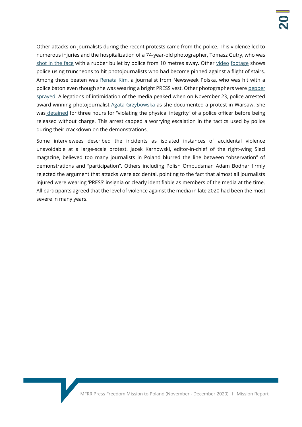Other attacks on journalists during the recent protests came from the police. This violence led to numerous injuries and the hospitalization of a 74-year-old photographer, Tomasz Gutry, who wa[s](https://ipi.media/poland-ipi-condemns-police-violence-against-journalists-amidst-warsaw-clashes/) [shot in the face](https://ipi.media/poland-ipi-condemns-police-violence-against-journalists-amidst-warsaw-clashes/) with a rubber bullet by police from 10 metres away. Other [video](https://twitter.com/DJKrawczyk/status/1326552327239524353) [footage](https://www.facebook.com/watch/?v=1858897314249524) shows police using truncheons to hit photojournalists who had become pinned against a flight of stairs. Among those beaten was [Renata Kim,](https://www.newsweek.pl/polska/spoleczenstwo/marsz-niepodleglosci-11-listopada-2020-relacja/cyp7cky?fbclid=IwAR2AtDsrSYqFSEVlEeVKrdehs07gLwvgfL1BboFQTqakyYk74VZ03WZhJoM) a journalist from Newsweek Polska, who was hit with a police baton even though she was wearing a bright PRESS vest. Other photographers were [pepper](https://mappingmediafreedom.ushahidi.io/posts/23609)  [sprayed.](https://mappingmediafreedom.ushahidi.io/posts/23609) Allegations of intimidation of the media peaked when on November 23, police arrested award-winning photojournalist [Agata Grzybowska](https://ipi.media/charges-against-polish-photojournalist-agata-grzybowska-must-be-dropped/) as she documented a protest in Warsaw. She was [detained](https://www.facebook.com/watch/?v=360340668600384) for three hours for "violating the physical integrity" of a police officer before being released without charge. This arrest capped a worrying escalation in the tactics used by police during their crackdown on the demonstrations.

Some interviewees described the incidents as isolated instances of accidental violence unavoidable at a large-scale protest. Jacek Karnowski, editor-in-chief of the right-wing Sieci magazine, believed too many journalists in Poland blurred the line between "observation" of demonstrations and "participation". Others including Polish Ombudsman Adam Bodnar firmly rejected the argument that attacks were accidental, pointing to the fact that almost all journalists injured were wearing 'PRESS' insignia or clearly identifiable as members of the media at the time. All participants agreed that the level of violence against the media in late 2020 had been the most severe in many years.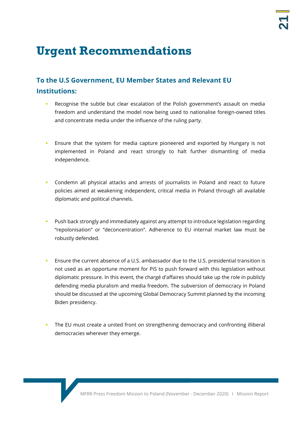## <span id="page-21-0"></span>**Urgent Recommendations**

#### <span id="page-21-1"></span>**To the U.S Government, EU Member States and Relevant EU Institutions:**

- Recognise the subtle but clear escalation of the Polish government's assault on media freedom and understand the model now being used to nationalise foreign-owned titles and concentrate media under the influence of the ruling party.
- **Ensure that the system for media capture pioneered and exported by Hungary is not** implemented in Poland and react strongly to halt further dismantling of media independence.
- Condemn all physical attacks and arrests of journalists in Poland and react to future policies aimed at weakening independent, critical media in Poland through all available diplomatic and political channels.
- **•** Push back strongly and immediately against any attempt to introduce legislation regarding "repolonisation" or "deconcentration". Adherence to EU internal market law must be robustly defended.
- Ensure the current absence of a U.S. ambassador due to the U.S. presidential transition is not used as an opportune moment for PiS to push forward with this legislation without diplomatic pressure. In this event, the chargé d'affaires should take up the role in publicly defending media pluralism and media freedom. The subversion of democracy in Poland should be discussed at the upcoming Global Democracy Summit planned by the incoming Biden presidency.
- **•** The EU must create a united front on strengthening democracy and confronting illiberal democracies wherever they emerge.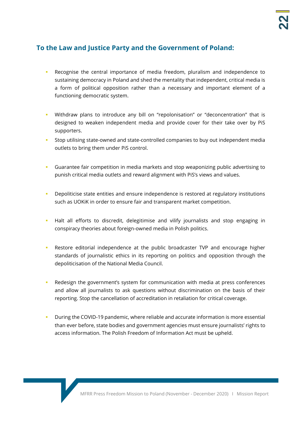#### <span id="page-22-0"></span>**To the Law and Justice Party and the Government of Poland:**

- **•** Recognise the central importance of media freedom, pluralism and independence to sustaining democracy in Poland and shed the mentality that independent, critical media is a form of political opposition rather than a necessary and important element of a functioning democratic system.
- Withdraw plans to introduce any bill on "repolonisation" or "deconcentration" that is designed to weaken independent media and provide cover for their take over by PiS supporters.
- Stop utilising state-owned and state-controlled companies to buy out independent media outlets to bring them under PiS control.
- Guarantee fair competition in media markets and stop weaponizing public advertising to punish critical media outlets and reward alignment with PiS's views and values.
- **•** Depoliticise state entities and ensure independence is restored at regulatory institutions such as UOKiK in order to ensure fair and transparent market competition.
- Halt all efforts to discredit, delegitimise and vilify journalists and stop engaging in conspiracy theories about foreign-owned media in Polish politics.
- Restore editorial independence at the public broadcaster TVP and encourage higher standards of journalistic ethics in its reporting on politics and opposition through the depoliticisation of the National Media Council.
- **•** Redesign the government's system for communication with media at press conferences and allow all journalists to ask questions without discrimination on the basis of their reporting. Stop the cancellation of accreditation in retaliation for critical coverage.
- During the COVID-19 pandemic, where reliable and accurate information is more essential than ever before, state bodies and government agencies must ensure journalists' rights to access information. The Polish Freedom of Information Act must be upheld.